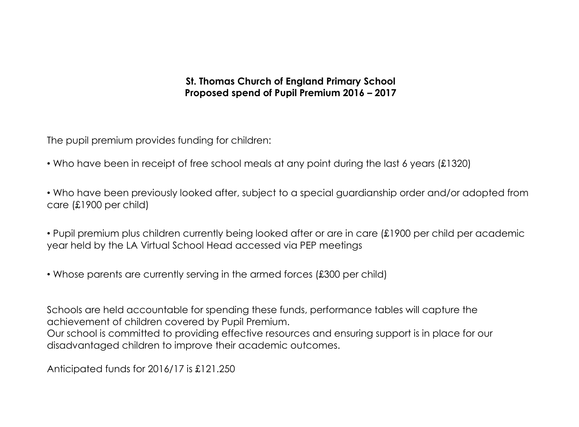# **St. Thomas Church of England Primary School Proposed spend of Pupil Premium 2016 – 2017**

The pupil premium provides funding for children:

• Who have been in receipt of free school meals at any point during the last 6 years (£1320)

• Who have been previously looked after, subject to a special guardianship order and/or adopted from care (£1900 per child)

• Pupil premium plus children currently being looked after or are in care (£1900 per child per academic year held by the LA Virtual School Head accessed via PEP meetings

• Whose parents are currently serving in the armed forces (£300 per child)

Schools are held accountable for spending these funds, performance tables will capture the achievement of children covered by Pupil Premium.

Our school is committed to providing effective resources and ensuring support is in place for our disadvantaged children to improve their academic outcomes.

Anticipated funds for 2016/17 is £121.250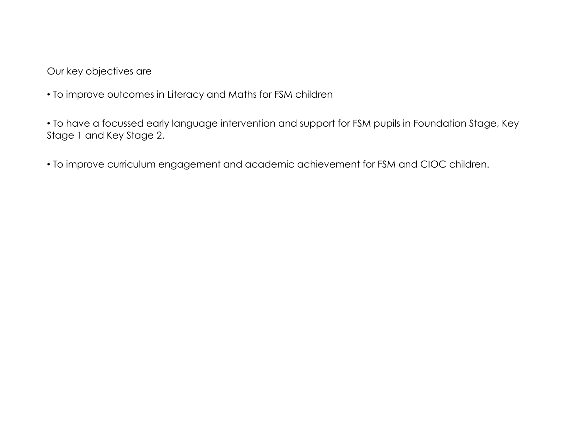Our key objectives are

• To improve outcomes in Literacy and Maths for FSM children

• To have a focussed early language intervention and support for FSM pupils in Foundation Stage, Key Stage 1 and Key Stage 2.

• To improve curriculum engagement and academic achievement for FSM and CIOC children.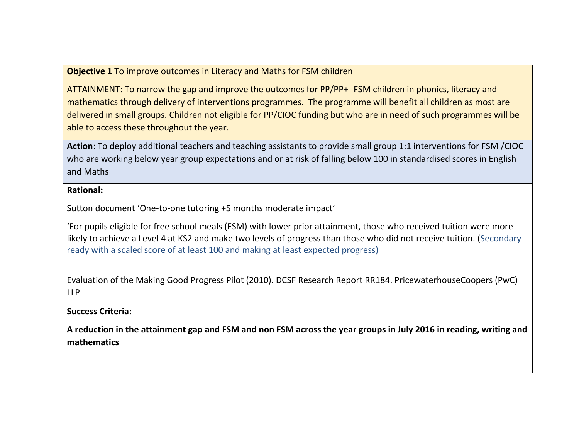## **Objective 1** To improve outcomes in Literacy and Maths for FSM children

ATTAINMENT: To narrow the gap and improve the outcomes for PP/PP+ -FSM children in phonics, literacy and mathematics through delivery of interventions programmes. The programme will benefit all children as most are delivered in small groups. Children not eligible for PP/CIOC funding but who are in need of such programmes will be able to access these throughout the year.

**Action**: To deploy additional teachers and teaching assistants to provide small group 1:1 interventions for FSM /CIOC who are working below year group expectations and or at risk of falling below 100 in standardised scores in English and Maths

#### **Rational:**

Sutton document 'One-to-one tutoring +5 months moderate impact'

'For pupils eligible for free school meals (FSM) with lower prior attainment, those who received tuition were more likely to achieve a Level 4 at KS2 and make two levels of progress than those who did not receive tuition. (Secondary ready with a scaled score of at least 100 and making at least expected progress)

Evaluation of the Making Good Progress Pilot (2010). DCSF Research Report RR184. PricewaterhouseCoopers (PwC) LLP

#### **Success Criteria:**

**A reduction in the attainment gap and FSM and non FSM across the year groups in July 2016 in reading, writing and mathematics**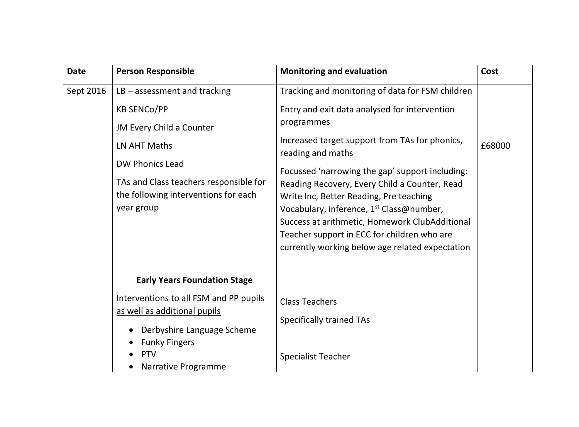| <b>Date</b> | <b>Person Responsible</b>                                                                                                                                                                                | <b>Monitoring and evaluation</b>                                                                                                                                                                                                                                                                     | Cost   |
|-------------|----------------------------------------------------------------------------------------------------------------------------------------------------------------------------------------------------------|------------------------------------------------------------------------------------------------------------------------------------------------------------------------------------------------------------------------------------------------------------------------------------------------------|--------|
| Sept 2016   | $LB - assesment$ and tracking                                                                                                                                                                            | Tracking and monitoring of data for FSM children                                                                                                                                                                                                                                                     |        |
|             | <b>KB SENCO/PP</b>                                                                                                                                                                                       | Entry and exit data analysed for intervention                                                                                                                                                                                                                                                        |        |
|             | JM Every Child a Counter                                                                                                                                                                                 | programmes                                                                                                                                                                                                                                                                                           |        |
|             | LN AHT Maths                                                                                                                                                                                             | Increased target support from TAs for phonics,<br>reading and maths                                                                                                                                                                                                                                  | £68000 |
|             | <b>DW Phonics Lead</b><br>TAs and Class teachers responsible for<br>the following interventions for each<br>year group                                                                                   | Focussed 'narrowing the gap' support including:<br>Reading Recovery, Every Child a Counter, Read<br>Write Inc, Better Reading, Pre teaching<br>Vocabulary, inference, 1 <sup>st</sup> Class@number,<br>Success at arithmetic, Homework ClubAdditional<br>Teacher support in ECC for children who are |        |
|             | <b>Early Years Foundation Stage</b><br>Interventions to all FSM and PP pupils<br>as well as additional pupils<br>Derbyshire Language Scheme<br><b>Funky Fingers</b><br><b>PTV</b><br>Narrative Programme | currently working below age related expectation<br><b>Class Teachers</b><br><b>Specifically trained TAs</b><br><b>Specialist Teacher</b>                                                                                                                                                             |        |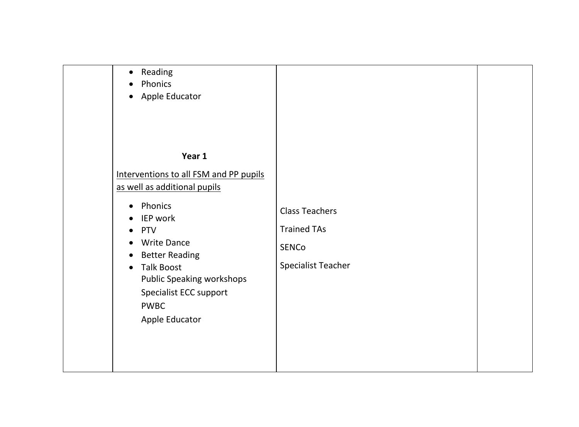| Reading<br>$\bullet$<br>Phonics<br>Apple Educator<br>$\bullet$                                                                                                                                                                                                                                               |                                                                                          |  |
|--------------------------------------------------------------------------------------------------------------------------------------------------------------------------------------------------------------------------------------------------------------------------------------------------------------|------------------------------------------------------------------------------------------|--|
| Year 1<br>Interventions to all FSM and PP pupils                                                                                                                                                                                                                                                             |                                                                                          |  |
| as well as additional pupils<br>Phonics<br>$\bullet$<br><b>IEP</b> work<br><b>PTV</b><br>$\bullet$<br><b>Write Dance</b><br>$\bullet$<br><b>Better Reading</b><br>$\bullet$<br><b>Talk Boost</b><br>$\bullet$<br><b>Public Speaking workshops</b><br>Specialist ECC support<br><b>PWBC</b><br>Apple Educator | <b>Class Teachers</b><br><b>Trained TAs</b><br><b>SENCO</b><br><b>Specialist Teacher</b> |  |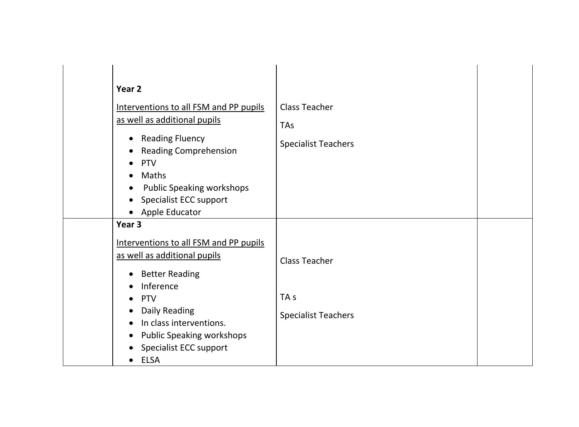| Year <sub>2</sub>                                                                                                                                                                                                                               |                                                           |  |
|-------------------------------------------------------------------------------------------------------------------------------------------------------------------------------------------------------------------------------------------------|-----------------------------------------------------------|--|
| Interventions to all FSM and PP pupils<br>as well as additional pupils<br>• Reading Fluency<br><b>Reading Comprehension</b><br><b>PTV</b><br>Maths<br><b>Public Speaking workshops</b><br>$\bullet$<br>Specialist ECC support<br>Apple Educator | <b>Class Teacher</b><br>TAs<br><b>Specialist Teachers</b> |  |
| Year <sub>3</sub>                                                                                                                                                                                                                               |                                                           |  |
| Interventions to all FSM and PP pupils<br>as well as additional pupils<br><b>Better Reading</b>                                                                                                                                                 | <b>Class Teacher</b>                                      |  |
| Inference<br><b>PTV</b><br>$\bullet$<br>Daily Reading<br>$\bullet$<br>In class interventions.<br>$\bullet$<br><b>Public Speaking workshops</b><br>$\bullet$<br><b>Specialist ECC support</b>                                                    | TA <sub>s</sub><br><b>Specialist Teachers</b>             |  |
| <b>ELSA</b>                                                                                                                                                                                                                                     |                                                           |  |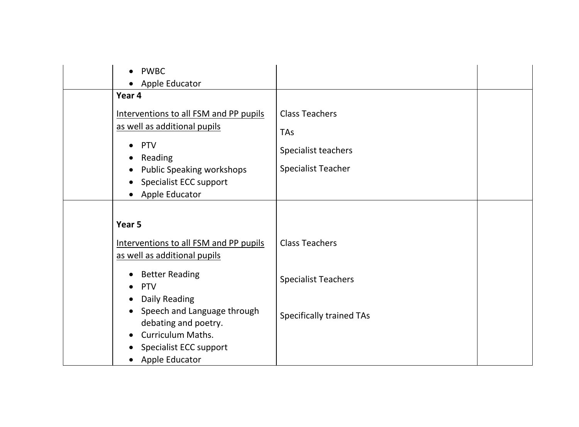| <b>PWBC</b><br>Apple Educator                                                                                                                                    |                                                            |  |
|------------------------------------------------------------------------------------------------------------------------------------------------------------------|------------------------------------------------------------|--|
| Year 4                                                                                                                                                           |                                                            |  |
| Interventions to all FSM and PP pupils<br>as well as additional pupils<br><b>PTV</b><br>Reading                                                                  | <b>Class Teachers</b><br><b>TAs</b><br>Specialist teachers |  |
| <b>Public Speaking workshops</b><br><b>Specialist ECC support</b><br>Apple Educator                                                                              | <b>Specialist Teacher</b>                                  |  |
| Year 5<br>Interventions to all FSM and PP pupils                                                                                                                 | <b>Class Teachers</b>                                      |  |
| as well as additional pupils<br><b>Better Reading</b><br><b>PTV</b>                                                                                              | <b>Specialist Teachers</b>                                 |  |
| Daily Reading<br>Speech and Language through<br>$\bullet$<br>debating and poetry.<br><b>Curriculum Maths.</b><br><b>Specialist ECC support</b><br>Apple Educator | <b>Specifically trained TAs</b>                            |  |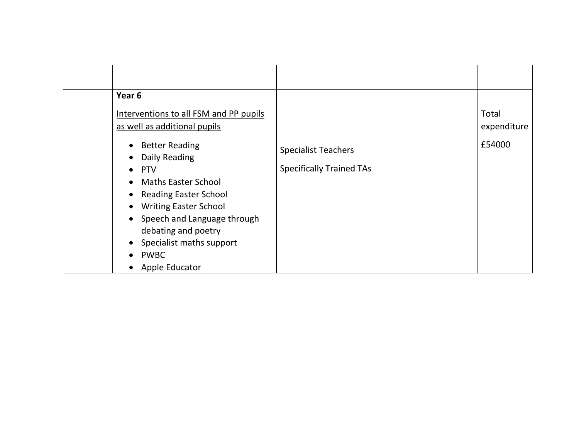| Year <sub>6</sub><br>Interventions to all FSM and PP pupils<br>as well as additional pupils<br>• Better Reading<br>Daily Reading<br>$\bullet$ PTV<br>• Maths Easter School<br>• Reading Easter School<br><b>Writing Easter School</b><br>$\bullet$<br>• Speech and Language through<br>debating and poetry<br>• Specialist maths support<br><b>PWBC</b><br>Apple Educator | <b>Specialist Teachers</b><br><b>Specifically Trained TAs</b> | Total<br>expenditure<br>£54000 |
|---------------------------------------------------------------------------------------------------------------------------------------------------------------------------------------------------------------------------------------------------------------------------------------------------------------------------------------------------------------------------|---------------------------------------------------------------|--------------------------------|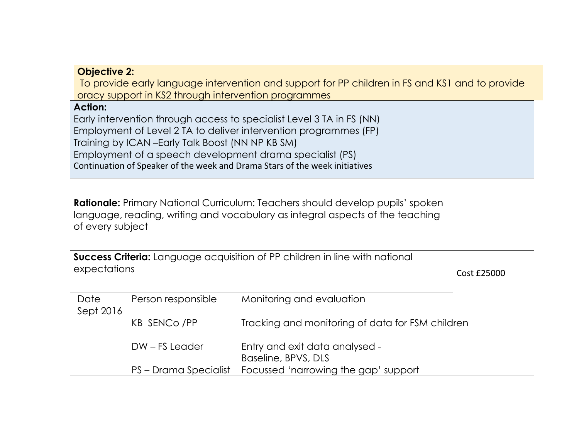| <b>Objective 2:</b><br>To provide early language intervention and support for PP children in FS and KS1 and to provide<br>oracy support in KS2 through intervention programmes                                                                                                                                                                              |                                                                                                                                                                                            |                                                       |  |  |  |
|-------------------------------------------------------------------------------------------------------------------------------------------------------------------------------------------------------------------------------------------------------------------------------------------------------------------------------------------------------------|--------------------------------------------------------------------------------------------------------------------------------------------------------------------------------------------|-------------------------------------------------------|--|--|--|
| <b>Action:</b><br>Early intervention through access to specialist Level 3 TA in FS (NN)<br>Employment of Level 2 TA to deliver intervention programmes (FP)<br>Training by ICAN - Early Talk Boost (NN NP KB SM)<br>Employment of a speech development drama specialist (PS)<br>Continuation of Speaker of the week and Drama Stars of the week initiatives |                                                                                                                                                                                            |                                                       |  |  |  |
|                                                                                                                                                                                                                                                                                                                                                             | <b>Rationale:</b> Primary National Curriculum: Teachers should develop pupils' spoken<br>language, reading, writing and vocabulary as integral aspects of the teaching<br>of every subject |                                                       |  |  |  |
| <b>Success Criteria:</b> Language acquisition of PP children in line with national<br>expectations                                                                                                                                                                                                                                                          | Cost £25000                                                                                                                                                                                |                                                       |  |  |  |
| Date<br>Sept 2016                                                                                                                                                                                                                                                                                                                                           | Person responsible                                                                                                                                                                         | Monitoring and evaluation                             |  |  |  |
|                                                                                                                                                                                                                                                                                                                                                             | Tracking and monitoring of data for FSM children                                                                                                                                           |                                                       |  |  |  |
|                                                                                                                                                                                                                                                                                                                                                             | DW-FS Leader                                                                                                                                                                               | Entry and exit data analysed -<br>Baseline, BPVS, DLS |  |  |  |
|                                                                                                                                                                                                                                                                                                                                                             | PS – Drama Specialist                                                                                                                                                                      | Focussed 'narrowing the gap' support                  |  |  |  |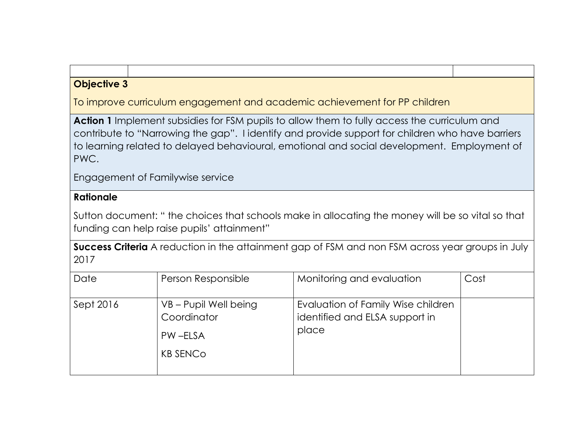# **Objective 3**

To improve curriculum engagement and academic achievement for PP children

**Action 1** Implement subsidies for FSM pupils to allow them to fully access the curriculum and contribute to "Narrowing the gap". I identify and provide support for children who have barriers to learning related to delayed behavioural, emotional and social development. Employment of PWC.

Engagement of Familywise service

# **Rationale**

Sutton document: " the choices that schools make in allocating the money will be so vital so that funding can help raise pupils' attainment"

**Success Criteria** A reduction in the attainment gap of FSM and non FSM across year groups in July 2017

| Date      | Person Responsible                                                 | Monitoring and evaluation                                                     | Cost |
|-----------|--------------------------------------------------------------------|-------------------------------------------------------------------------------|------|
| Sept 2016 | VB – Pupil Well being<br>Coordinator<br>PW-ELSA<br><b>KB SENCO</b> | Evaluation of Family Wise children<br>identified and ELSA support in<br>place |      |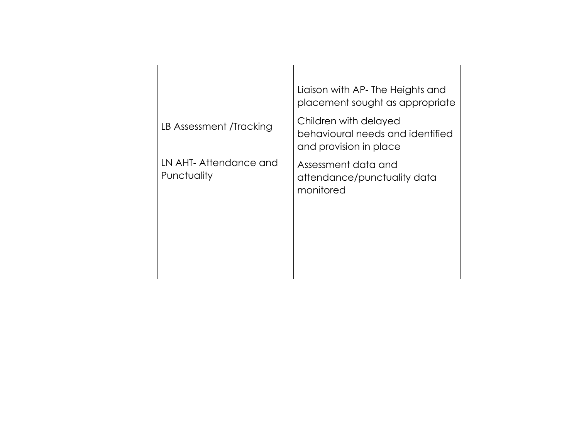|                                      | Liaison with AP-The Heights and<br>placement sought as appropriate                  |  |
|--------------------------------------|-------------------------------------------------------------------------------------|--|
| LB Assessment /Tracking              | Children with delayed<br>behavioural needs and identified<br>and provision in place |  |
| LN AHT-Attendance and<br>Punctuality | Assessment data and<br>attendance/punctuality data<br>monitored                     |  |
|                                      |                                                                                     |  |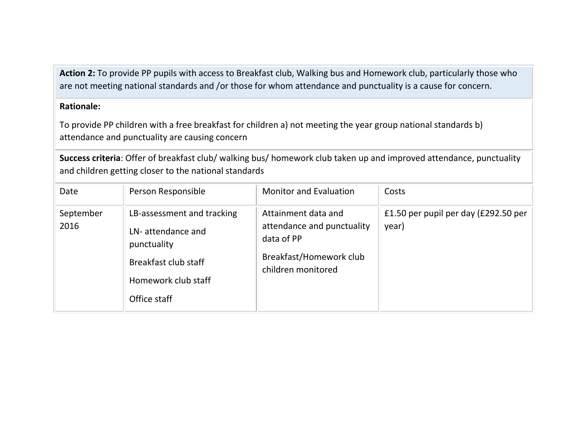**Action 2:** To provide PP pupils with access to Breakfast club, Walking bus and Homework club, particularly those who are not meeting national standards and /or those for whom attendance and punctuality is a cause for concern.

### **Rationale:**

To provide PP children with a free breakfast for children a) not meeting the year group national standards b) attendance and punctuality are causing concern

**Success criteria**: Offer of breakfast club/ walking bus/ homework club taken up and improved attendance, punctuality and children getting closer to the national standards

| Date              | Person Responsible                                                                                                            | <b>Monitor and Evaluation</b>                                                                                    | Costs                                         |
|-------------------|-------------------------------------------------------------------------------------------------------------------------------|------------------------------------------------------------------------------------------------------------------|-----------------------------------------------|
| September<br>2016 | LB-assessment and tracking<br>LN-attendance and<br>punctuality<br>Breakfast club staff<br>Homework club staff<br>Office staff | Attainment data and<br>attendance and punctuality<br>data of PP<br>Breakfast/Homework club<br>children monitored | £1.50 per pupil per day (£292.50 per<br>year) |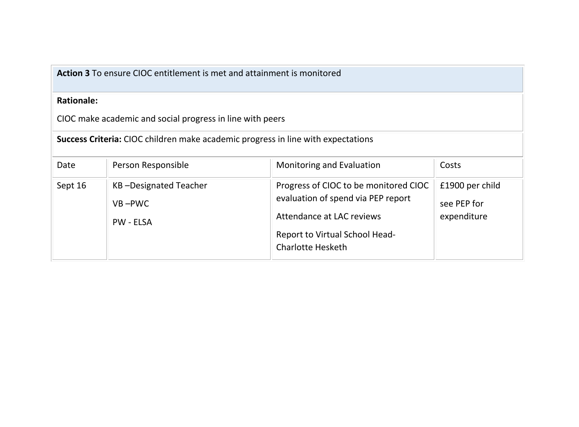**Action 3** To ensure CIOC entitlement is met and attainment is monitored

## **Rationale:**

CIOC make academic and social progress in line with peers

**Success Criteria:** CIOC children make academic progress in line with expectations

| Date    | Person Responsible                                      | Monitoring and Evaluation                                                                                                                                              | Costs                                         |
|---------|---------------------------------------------------------|------------------------------------------------------------------------------------------------------------------------------------------------------------------------|-----------------------------------------------|
| Sept 16 | KB-Designated Teacher<br>$VB - PWC$<br><b>PW - ELSA</b> | Progress of CIOC to be monitored CIOC<br>evaluation of spend via PEP report<br>Attendance at LAC reviews<br>Report to Virtual School Head-<br><b>Charlotte Hesketh</b> | £1900 per child<br>see PEP for<br>expenditure |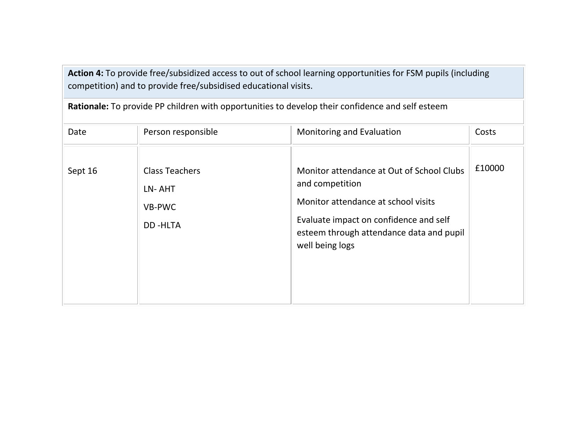**Action 4:** To provide free/subsidized access to out of school learning opportunities for FSM pupils (including competition) and to provide free/subsidised educational visits.

| Date    | Person responsible                                          | Monitoring and Evaluation                                                                                                                                                                                    | Costs  |
|---------|-------------------------------------------------------------|--------------------------------------------------------------------------------------------------------------------------------------------------------------------------------------------------------------|--------|
| Sept 16 | <b>Class Teachers</b><br>LN-AHT<br>VB-PWC<br><b>DD-HLTA</b> | Monitor attendance at Out of School Clubs<br>and competition<br>Monitor attendance at school visits<br>Evaluate impact on confidence and self<br>esteem through attendance data and pupil<br>well being logs | £10000 |

**Rationale:** To provide PP children with opportunities to develop their confidence and self esteem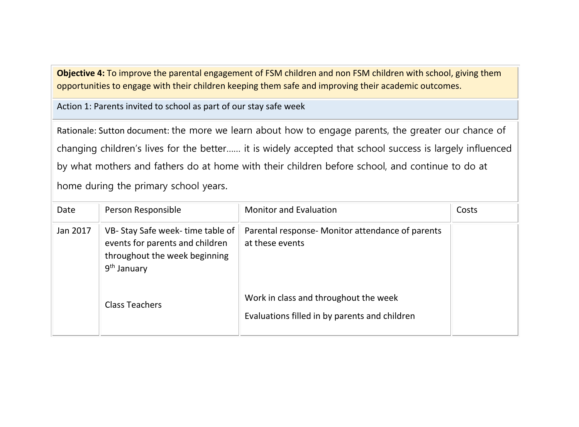**Objective 4:** To improve the parental engagement of FSM children and non FSM children with school, giving them opportunities to engage with their children keeping them safe and improving their academic outcomes.

Action 1: Parents invited to school as part of our stay safe week

Rationale: Sutton document: the more we learn about how to engage parents, the greater our chance of changing children's lives for the better…… it is widely accepted that school success is largely influenced by what mothers and fathers do at home with their children before school, and continue to do at home during the primary school years.

| Date     | Person Responsible                                                                                                             | <b>Monitor and Evaluation</b>                                                          | Costs |
|----------|--------------------------------------------------------------------------------------------------------------------------------|----------------------------------------------------------------------------------------|-------|
| Jan 2017 | VB-Stay Safe week-time table of<br>events for parents and children<br>throughout the week beginning<br>9 <sup>th</sup> January | Parental response- Monitor attendance of parents<br>at these events                    |       |
|          | <b>Class Teachers</b>                                                                                                          | Work in class and throughout the week<br>Evaluations filled in by parents and children |       |